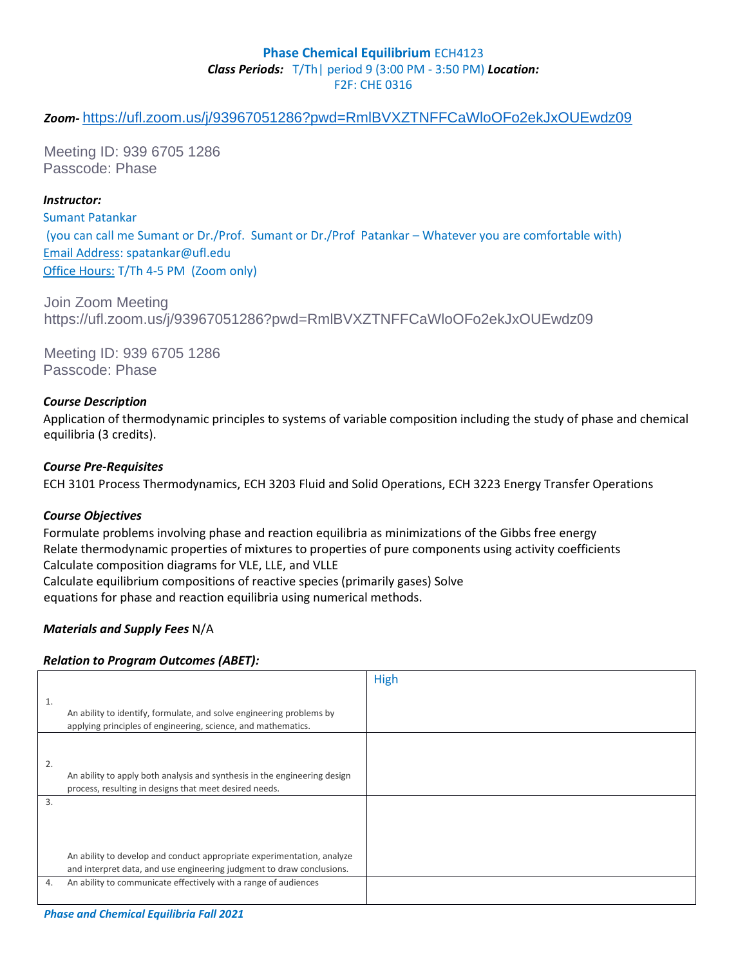### **Phase Chemical Equilibrium ECH4123** *Class Periods:* T/Th| period 9 (3:00 PM - 3:50 PM) *Location:* F2F: CHE 0316

# *Zoom-* <https://ufl.zoom.us/j/93967051286?pwd=RmlBVXZTNFFCaWloOFo2ekJxOUEwdz09>

Meeting ID: 939 6705 1286 Passcode: Phase

#### *Instructor:*

Sumant Patankar (you can call me Sumant or Dr./Prof. Sumant or Dr./Prof Patankar – Whatever you are comfortable with) Email Address: spatankar@ufl.edu Office Hours: T/Th 4-5 PM (Zoom only)

Join Zoom Meeting https://ufl.zoom.us/j/93967051286?pwd=RmlBVXZTNFFCaWloOFo2ekJxOUEwdz09

Meeting ID: 939 6705 1286 Passcode: Phase

#### *Course Description*

Application of thermodynamic principles to systems of variable composition including the study of phase and chemical equilibria (3 credits).

#### *Course Pre-Requisites*

ECH 3101 Process Thermodynamics, ECH 3203 Fluid and Solid Operations, ECH 3223 Energy Transfer Operations

#### *Course Objectives*

Formulate problems involving phase and reaction equilibria as minimizations of the Gibbs free energy Relate thermodynamic properties of mixtures to properties of pure components using activity coefficients Calculate composition diagrams for VLE, LLE, and VLLE Calculate equilibrium compositions of reactive species (primarily gases) Solve equations for phase and reaction equilibria using numerical methods.

### *Materials and Supply Fees* N/A

### *Relation to Program Outcomes (ABET):*

|    |                                                                                                                                                 | High |
|----|-------------------------------------------------------------------------------------------------------------------------------------------------|------|
| 1. | An ability to identify, formulate, and solve engineering problems by<br>applying principles of engineering, science, and mathematics.           |      |
| 2. | An ability to apply both analysis and synthesis in the engineering design<br>process, resulting in designs that meet desired needs.             |      |
| 3. | An ability to develop and conduct appropriate experimentation, analyze<br>and interpret data, and use engineering judgment to draw conclusions. |      |
| 4. | An ability to communicate effectively with a range of audiences                                                                                 |      |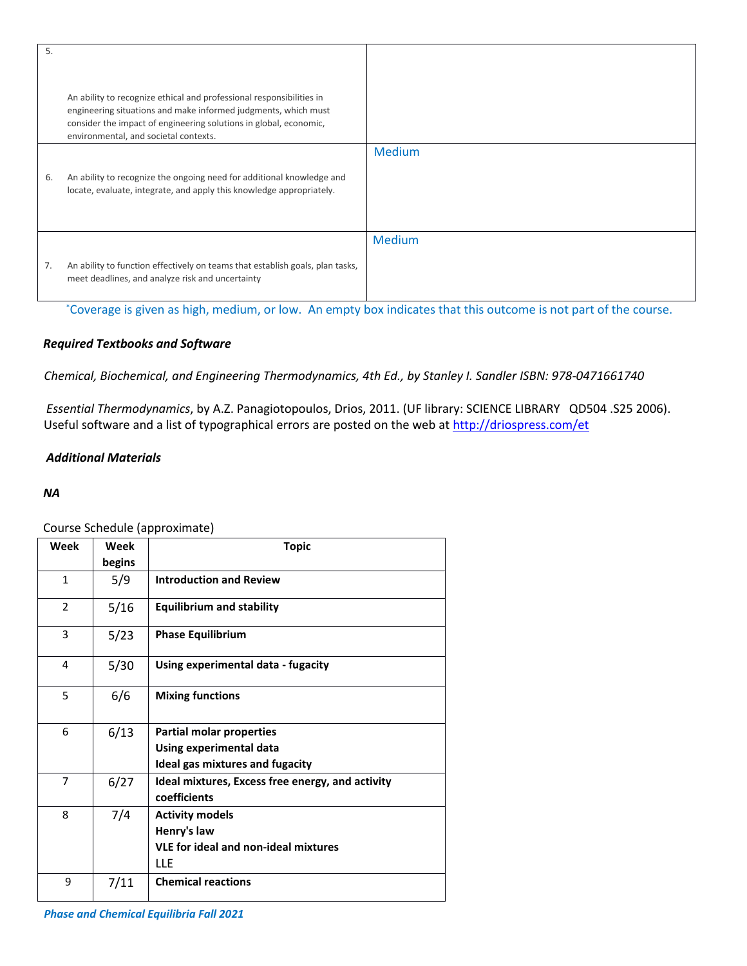| 5. |                                                                                                                                                                                                                                                      |               |
|----|------------------------------------------------------------------------------------------------------------------------------------------------------------------------------------------------------------------------------------------------------|---------------|
|    | An ability to recognize ethical and professional responsibilities in<br>engineering situations and make informed judgments, which must<br>consider the impact of engineering solutions in global, economic,<br>environmental, and societal contexts. |               |
|    |                                                                                                                                                                                                                                                      | <b>Medium</b> |
| 6. | An ability to recognize the ongoing need for additional knowledge and<br>locate, evaluate, integrate, and apply this knowledge appropriately.                                                                                                        |               |
|    |                                                                                                                                                                                                                                                      | <b>Medium</b> |
| 7. | An ability to function effectively on teams that establish goals, plan tasks,<br>meet deadlines, and analyze risk and uncertainty                                                                                                                    |               |

\*Coverage is given as high, medium, or low. An empty box indicates that this outcome is not part of the course.

# *Required Textbooks and Software*

*Chemical, Biochemical, and Engineering Thermodynamics, 4th Ed., by Stanley I. Sandler ISBN: 978-0471661740*

*Essential Thermodynamics*, by A.Z. Panagiotopoulos, Drios, 2011. (UF library: SCIENCE LIBRARY QD504 .S25 2006). Useful software and a list of typographical errors are posted on the web at<http://driospress.com/et>

# *Additional Materials*

#### *NA*

Course Schedule (approximate)

| Week           | Week<br>begins | <b>Topic</b>                                                                                       |
|----------------|----------------|----------------------------------------------------------------------------------------------------|
| $\mathbf{1}$   | 5/9            | <b>Introduction and Review</b>                                                                     |
| 2              | 5/16           | <b>Equilibrium and stability</b>                                                                   |
| 3              | 5/23           | <b>Phase Equilibrium</b>                                                                           |
| 4              | 5/30           | Using experimental data - fugacity                                                                 |
| 5              | 6/6            | <b>Mixing functions</b>                                                                            |
| 6              | 6/13           | <b>Partial molar properties</b><br>Using experimental data<br>Ideal gas mixtures and fugacity      |
| $\overline{7}$ | 6/27           | Ideal mixtures, Excess free energy, and activity<br>coefficients                                   |
| 8              | 7/4            | <b>Activity models</b><br>Henry's law<br><b>VLE for ideal and non-ideal mixtures</b><br><b>LLE</b> |
| 9              | 7/11           | <b>Chemical reactions</b>                                                                          |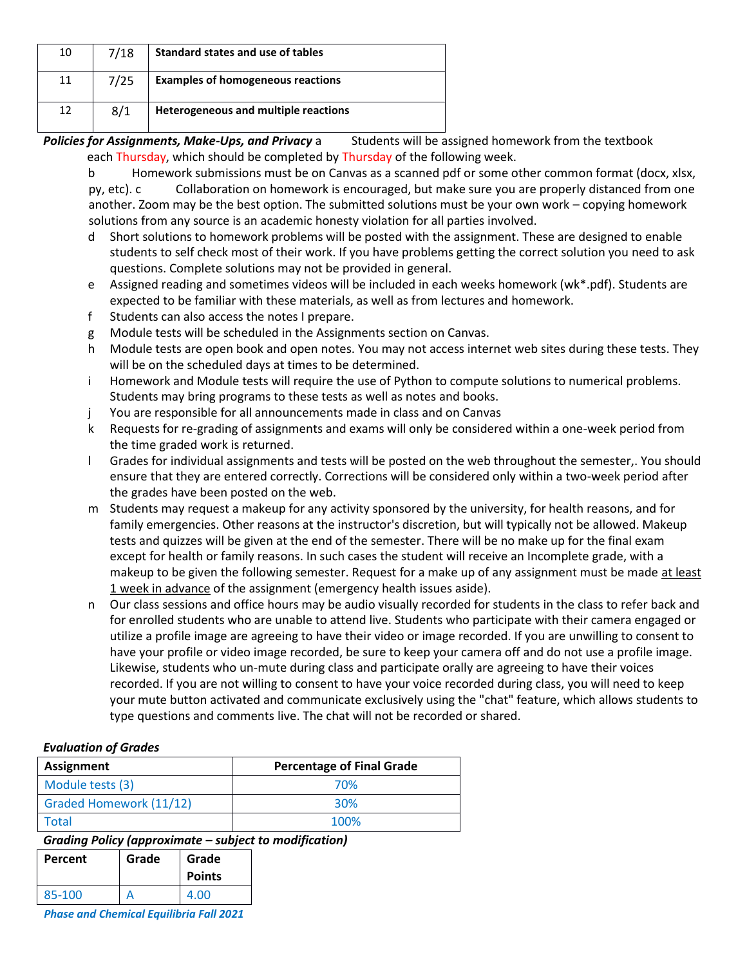| 10 | 7/18 | Standard states and use of tables        |
|----|------|------------------------------------------|
| 11 | 7/25 | <b>Examples of homogeneous reactions</b> |
| 12 | 8/1  | Heterogeneous and multiple reactions     |

Policies for Assignments, Make-Ups, and Privacy a Students will be assigned homework from the textbook each Thursday, which should be completed by Thursday of the following week.

b Homework submissions must be on Canvas as a scanned pdf or some other common format (docx, xlsx, py, etc). c Collaboration on homework is encouraged, but make sure you are properly distanced from one another. Zoom may be the best option. The submitted solutions must be your own work – copying homework solutions from any source is an academic honesty violation for all parties involved.

- d Short solutions to homework problems will be posted with the assignment. These are designed to enable students to self check most of their work. If you have problems getting the correct solution you need to ask questions. Complete solutions may not be provided in general.
- e Assigned reading and sometimes videos will be included in each weeks homework (wk\*.pdf). Students are expected to be familiar with these materials, as well as from lectures and homework.
- f Students can also access the notes I prepare.
- g Module tests will be scheduled in the Assignments section on Canvas.
- h Module tests are open book and open notes. You may not access internet web sites during these tests. They will be on the scheduled days at times to be determined.
- i Homework and Module tests will require the use of Python to compute solutions to numerical problems. Students may bring programs to these tests as well as notes and books.
- j You are responsible for all announcements made in class and on Canvas
- k Requests for re-grading of assignments and exams will only be considered within a one-week period from the time graded work is returned.
- l Grades for individual assignments and tests will be posted on the web throughout the semester,. You should ensure that they are entered correctly. Corrections will be considered only within a two-week period after the grades have been posted on the web.
- m Students may request a makeup for any activity sponsored by the university, for health reasons, and for family emergencies. Other reasons at the instructor's discretion, but will typically not be allowed. Makeup tests and quizzes will be given at the end of the semester. There will be no make up for the final exam except for health or family reasons. In such cases the student will receive an Incomplete grade, with a makeup to be given the following semester. Request for a make up of any assignment must be made at least 1 week in advance of the assignment (emergency health issues aside).
- n Our class sessions and office hours may be audio visually recorded for students in the class to refer back and for enrolled students who are unable to attend live. Students who participate with their camera engaged or utilize a profile image are agreeing to have their video or image recorded. If you are unwilling to consent to have your profile or video image recorded, be sure to keep your camera off and do not use a profile image. Likewise, students who un-mute during class and participate orally are agreeing to have their voices recorded. If you are not willing to consent to have your voice recorded during class, you will need to keep your mute button activated and communicate exclusively using the "chat" feature, which allows students to type questions and comments live. The chat will not be recorded or shared.

# *Evaluation of Grades*

| <b>Assignment</b>              | <b>Percentage of Final Grade</b> |
|--------------------------------|----------------------------------|
| Module tests (3)               | 70%                              |
| <b>Graded Homework (11/12)</b> | 30%                              |
| Total                          | 100%                             |

*Grading Policy (approximate – subject to modification)*

| <b>Percent</b> | Grade | Grade<br><b>Points</b> |
|----------------|-------|------------------------|
| 85-100         |       | 4.00                   |

*Phase and Chemical Equilibria Fall 2021*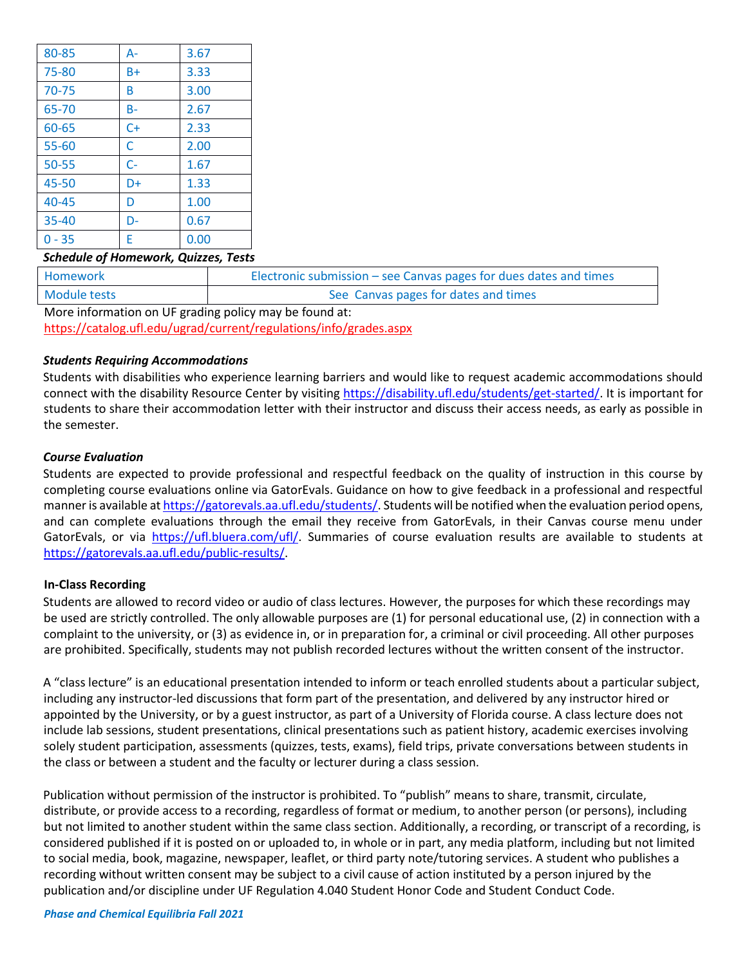| 80-85     | $A -$ | 3.67 |
|-----------|-------|------|
| 75-80     | B+    | 3.33 |
| 70-75     | B     | 3.00 |
| 65-70     | $B -$ | 2.67 |
| 60-65     | $C+$  | 2.33 |
| $55 - 60$ | C     | 2.00 |
| 50-55     | $C -$ | 1.67 |
| 45-50     | D+    | 1.33 |
| $40 - 45$ | D     | 1.00 |
| $35 - 40$ | D-    | 0.67 |
| $0 - 35$  | E     | 0.00 |

#### *Schedule of Homework, Quizzes, Tests*

| Homework                                               | Electronic submission – see Canvas pages for dues dates and times |  |
|--------------------------------------------------------|-------------------------------------------------------------------|--|
| Module tests                                           | See Canvas pages for dates and times                              |  |
| More information on HE grading policy may be found at: |                                                                   |  |

More information on UF grading policy may be found at: <https://catalog.ufl.edu/ugrad/current/regulations/info/grades.aspx>

#### *Students Requiring Accommodations*

Students with disabilities who experience learning barriers and would like to request academic accommodations should connect with the disability Resource Center by visitin[g](https://disability.ufl.edu/students/get-started/) [https://disability.ufl.edu/students/get-started/.](https://disability.ufl.edu/students/get-started/) It is important for students to share their accommodation letter with their instructor and discuss their access needs, as early as possible in the semester.

#### *Course Evaluation*

Students are expected to provide professional and respectful feedback on the quality of instruction in this course by completing course evaluations online via GatorEvals. Guidance on how to give feedback in a professional and respectful manner is available a[t https://gatorevals.aa.ufl.edu/students/.](https://gatorevals.aa.ufl.edu/students/) Students will be notified when the evaluation period opens, and can complete evaluations through the email they receive from GatorEvals, in their Canvas course menu under GatorEvals, or via [https://ufl.bluera.com/ufl/.](https://ufl.bluera.com/ufl/) Summaries of course evaluation results are available to students at [https://gatorevals.aa.ufl.edu/public-results/.](https://gatorevals.aa.ufl.edu/public-results/)

#### **In-Class Recording**

Students are allowed to record video or audio of class lectures. However, the purposes for which these recordings may be used are strictly controlled. The only allowable purposes are (1) for personal educational use, (2) in connection with a complaint to the university, or (3) as evidence in, or in preparation for, a criminal or civil proceeding. All other purposes are prohibited. Specifically, students may not publish recorded lectures without the written consent of the instructor.

A "class lecture" is an educational presentation intended to inform or teach enrolled students about a particular subject, including any instructor-led discussions that form part of the presentation, and delivered by any instructor hired or appointed by the University, or by a guest instructor, as part of a University of Florida course. A class lecture does not include lab sessions, student presentations, clinical presentations such as patient history, academic exercises involving solely student participation, assessments (quizzes, tests, exams), field trips, private conversations between students in the class or between a student and the faculty or lecturer during a class session.

Publication without permission of the instructor is prohibited. To "publish" means to share, transmit, circulate, distribute, or provide access to a recording, regardless of format or medium, to another person (or persons), including but not limited to another student within the same class section. Additionally, a recording, or transcript of a recording, is considered published if it is posted on or uploaded to, in whole or in part, any media platform, including but not limited to social media, book, magazine, newspaper, leaflet, or third party note/tutoring services. A student who publishes a recording without written consent may be subject to a civil cause of action instituted by a person injured by the publication and/or discipline under UF Regulation 4.040 Student Honor Code and Student Conduct Code.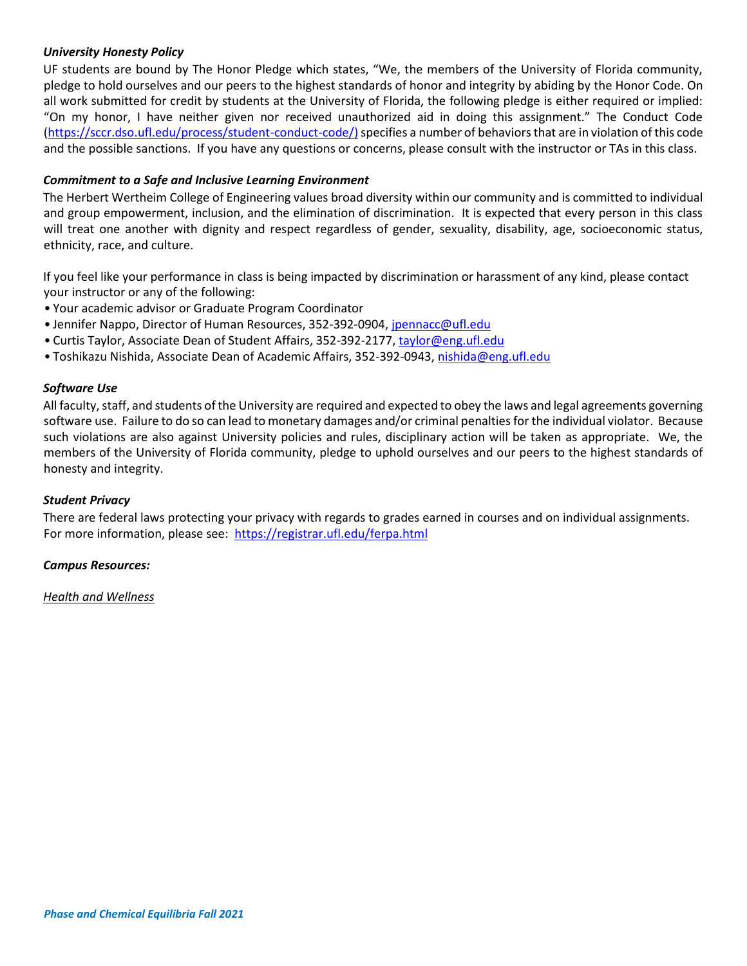## *University Honesty Policy*

UF students are bound by The Honor Pledge which states, "We, the members of the University of Florida community, pledge to hold ourselves and our peers to the highest standards of honor and integrity by abiding by the Honor Code. On all work submitted for credit by students at the University of Florida, the following pledge is either required or implied: "On my honor, I have neither given nor received unauthorized aid in doing this assignment." The Conduct Code (https://sccr.dso.ufl.edu/process/student-conduct-code/) specifies a number of behaviors that are in violation of this code and the possible sanctions. If you have any questions or concerns, please consult with the instructor or TAs in this class.

## *Commitment to a Safe and Inclusive Learning Environment*

The Herbert Wertheim College of Engineering values broad diversity within our community and is committed to individual and group empowerment, inclusion, and the elimination of discrimination. It is expected that every person in this class will treat one another with dignity and respect regardless of gender, sexuality, disability, age, socioeconomic status, ethnicity, race, and culture.

If you feel like your performance in class is being impacted by discrimination or harassment of any kind, please contact your instructor or any of the following:

- Your academic advisor or Graduate Program Coordinator
- Jennifer Nappo, Director of Human Resources, 352-392-0904, jpennacc@ufl.edu
- Curtis Taylor, Associate Dean of Student Affairs, 352-392-2177, taylor@eng.ufl.edu
- Toshikazu Nishida, Associate Dean of Academic Affairs, 352-392-0943, nishida@eng.ufl.edu

### *Software Use*

All faculty, staff, and students of the University are required and expected to obey the laws and legal agreements governing software use. Failure to do so can lead to monetary damages and/or criminal penalties for the individual violator. Because such violations are also against University policies and rules, disciplinary action will be taken as appropriate. We, the members of the University of Florida community, pledge to uphold ourselves and our peers to the highest standards of honesty and integrity.

### *Student Privacy*

There are federal laws protecting your privacy with regards to grades earned in courses and on individual assignments. For more information, please see: <https://registrar.ufl.edu/ferpa.html>

#### *Campus Resources:*

*Health and Wellness*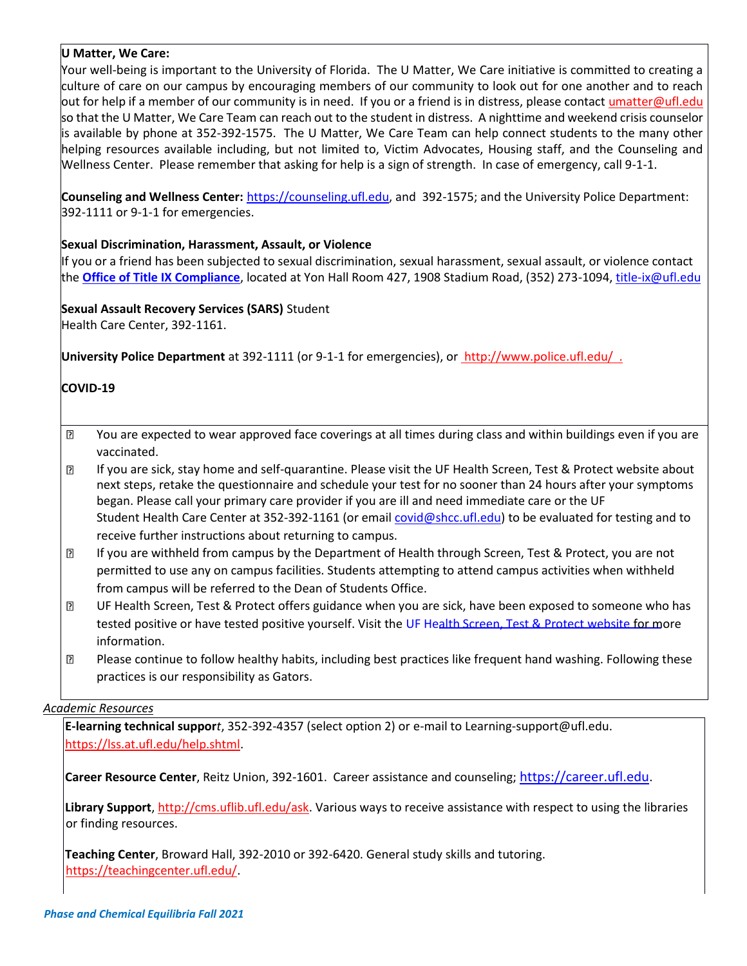### **U Matter, We Care:**

Your well-being is important to the University of Florida. The U Matter, We Care initiative is committed to creating a culture of care on our campus by encouraging members of our community to look out for one another and to reach out for help if a member of our community is in need. If you or a friend is in distress, please contact umatter@ufl.edu so that the U Matter, We Care Team can reach out to the student in distress. A nighttime and weekend crisis counselor is available by phone at 352-392-1575. The U Matter, We Care Team can help connect students to the many other helping resources available including, but not limited to, Victim Advocates, Housing staff, and the Counseling and Wellness Center. Please remember that asking for help is a sign of strength. In case of emergency, call 9-1-1.

**Counseling and Wellness Center:** [https://counseling.ufl.edu,](https://counseling.ufl.edu/) and 392-1575; and the University Police Department: 392-1111 or 9-1-1 for emergencies.

### **Sexual Discrimination, Harassment, Assault, or Violence**

If you or a friend has been subjected to sexual discrimination, sexual harassment, sexual assault, or violence contact the **[Office of Title IX Compliance](https://titleix.ufl.edu/)**[,](https://titleix.ufl.edu/) located at Yon Hall Room 427, 1908 Stadium Road, (352) 273-1094, title-ix@ufl.edu

# **Sexual Assault Recovery Services (SARS)** Student

Health Care Center, 392-1161.

**University Police Department** at 392-1111 (or 9-1-1 for emergencies), or [http://www.police.ufl.edu/ .](http://www.police.ufl.edu/)

# **COVID-19**

- $\overline{P}$ You are expected to wear approved face coverings at all times during class and within buildings even if you are vaccinated.
- $\overline{2}$ If you are sick, stay home and self-quarantine. Please visit the UF Health Screen, Test & Protect website about next steps, retake the questionnaire and schedule your test for no sooner than 24 hours after your symptoms began. Please call your primary care provider if you are ill and need immediate care or the UF Student Health Care Center at 352-392-1161 (or email covid@shcc.ufl.edu) to be evaluated for testing and to receive further instructions about returning to campus.
- $\overline{2}$ If you are withheld from campus by the Department of Health through Screen, Test & Protect, you are not permitted to use any on campus facilities. Students attempting to attend campus activities when withheld from campus will be referred to the Dean of Students Office.
- UF Health Screen, Test & Protect offers guidance when you are sick, have been exposed to someone who has  $\overline{2}$ tested positive or have tested positive yourself. Visit th[e UF Health Screen, Test & Protect website](https://click.info.gator360.ufl.edu/?qs=8f0d5e01a3f7385148f144e2089093522a358a8d85cb9db73c31675d3c5e5c0d27748d40c212f544822551342f1912ea5b4f2b890d5952e8) for more information.
- $\overline{?}$ Please continue to follow healthy habits, including best practices like frequent hand washing. Following these practices is our responsibility as Gators.

### *Academic Resources*

**E-learning technical suppor***t*, 352-392-4357 (select option 2) or e-mail to Learning-support@ufl.edu. [https://lss.at.ufl.edu/help.shtml.](https://lss.at.ufl.edu/help.shtml)

**Career Resource Center**, Reitz Union, 392-1601. Career assistance and counseling; [https://career.ufl.edu](https://career.ufl.edu/)[.](https://career.ufl.edu/)

**Library Support**, [http://cms.uflib.ufl.edu/ask.](http://cms.uflib.ufl.edu/ask) Various ways to receive assistance with respect to using the libraries or finding resources.

**Teaching Center**, Broward Hall, 392-2010 or 392-6420. General study skills and tutoring. [https://teachingcenter.ufl.edu/.](https://teachingcenter.ufl.edu/)